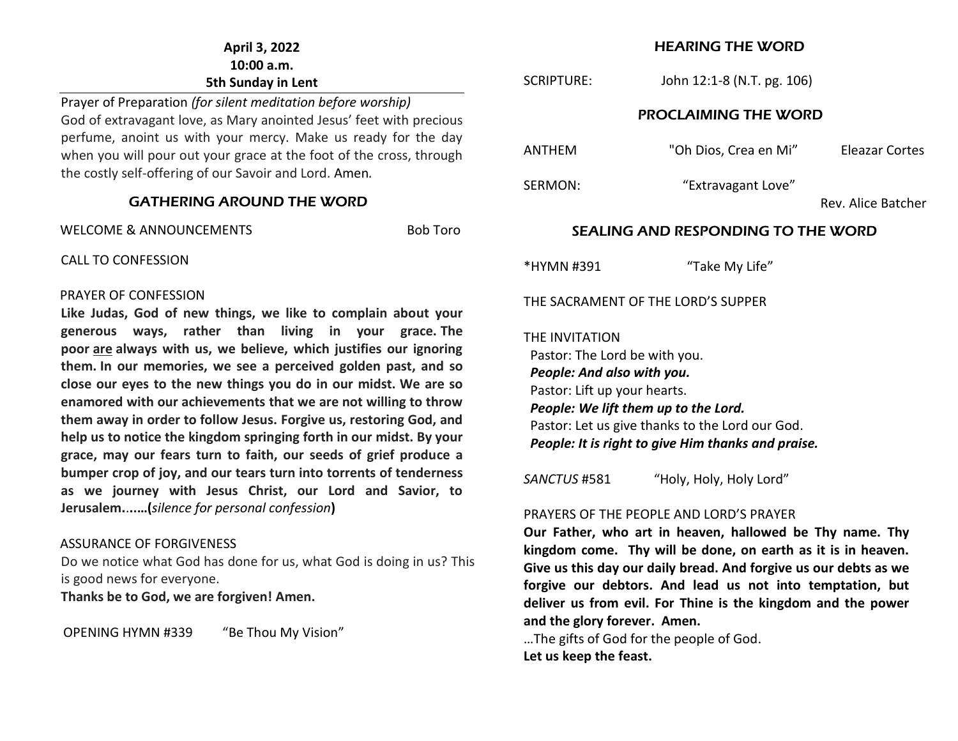### **April 3, 2022 10:00 a.m. 5th Sunday in Lent**

Prayer of Preparation *(for silent meditation before worship)* God of extravagant love, as Mary anointed Jesus' feet with precious perfume, anoint us with your mercy. Make us ready for the day when you will pour out your grace at the foot of the cross, through the costly self-offering of our Savoir and Lord. Amen*.* 

#### GATHERING AROUND THE WORD

WELCOME & ANNOUNCEMENTS FOR RESIDENCE ROLL BOB Toro

CALL TO CONFESSION

#### PRAYER OF CONFESSION

**Like Judas, God of new things, we like to complain about your generous ways, rather than living in your grace. The poor are always with us, we believe, which justifies our ignoring them. In our memories, we see a perceived golden past, and so close our eyes to the new things you do in our midst. We are so enamored with our achievements that we are not willing to throw them away in order to follow Jesus. Forgive us, restoring God, and help us to notice the kingdom springing forth in our midst. By your grace, may our fears turn to faith, our seeds of grief produce a bumper crop of joy, and our tears turn into torrents of tenderness as we journey with Jesus Christ, our Lord and Savior, to Jerusalem.**.**..…(***silence for personal confession***)**

#### ASSURANCE OF FORGIVENESS

Do we notice what God has done for us, what God is doing in us? This is good news for everyone.

**Thanks be to God, we are forgiven! Amen.**

OPENING HYMN #339 "Be Thou My Vision"

### HEARING THE WORD

| <b>SCRIPTURE:</b>                                                                                             | John 12:1-8 (N.T. pg. 106)                                                                                                                    |                    |  |  |
|---------------------------------------------------------------------------------------------------------------|-----------------------------------------------------------------------------------------------------------------------------------------------|--------------------|--|--|
| <b>PROCLAIMING THE WORD</b>                                                                                   |                                                                                                                                               |                    |  |  |
| <b>ANTHFM</b>                                                                                                 | "Oh Dios, Crea en Mi"                                                                                                                         | Eleazar Cortes     |  |  |
| SERMON:                                                                                                       | "Extravagant Love"                                                                                                                            | Rev. Alice Batcher |  |  |
| <b>SEALING AND RESPONDING TO THE WORD</b>                                                                     |                                                                                                                                               |                    |  |  |
| *HYMN #391                                                                                                    | "Take My Life"                                                                                                                                |                    |  |  |
| THE SACRAMENT OF THE LORD'S SUPPER                                                                            |                                                                                                                                               |                    |  |  |
| THE INVITATION<br>Pastor: The Lord be with you.<br>People: And also with you.<br>Pastor: Lift up your hearts. | People: We lift them up to the Lord.<br>Pastor: Let us give thanks to the Lord our God.<br>People: It is right to give Him thanks and praise. |                    |  |  |
| SANCTUS #581                                                                                                  | "Holy, Holy, Holy Lord"                                                                                                                       |                    |  |  |
| $DDAVFDC$ of the DEODLE AND LODD'C DRAVED                                                                     |                                                                                                                                               |                    |  |  |

#### PRAYERS OF THE PEOPLE AND LORD'S PRAYER

**Our Father, who art in heaven, hallowed be Thy name. Thy kingdom come. Thy will be done, on earth as it is in heaven. Give us this day our daily bread. And forgive us our debts as we forgive our debtors. And lead us not into temptation, but deliver us from evil. For Thine is the kingdom and the power and the glory forever. Amen.**

…The gifts of God for the people of God. **Let us keep the feast.**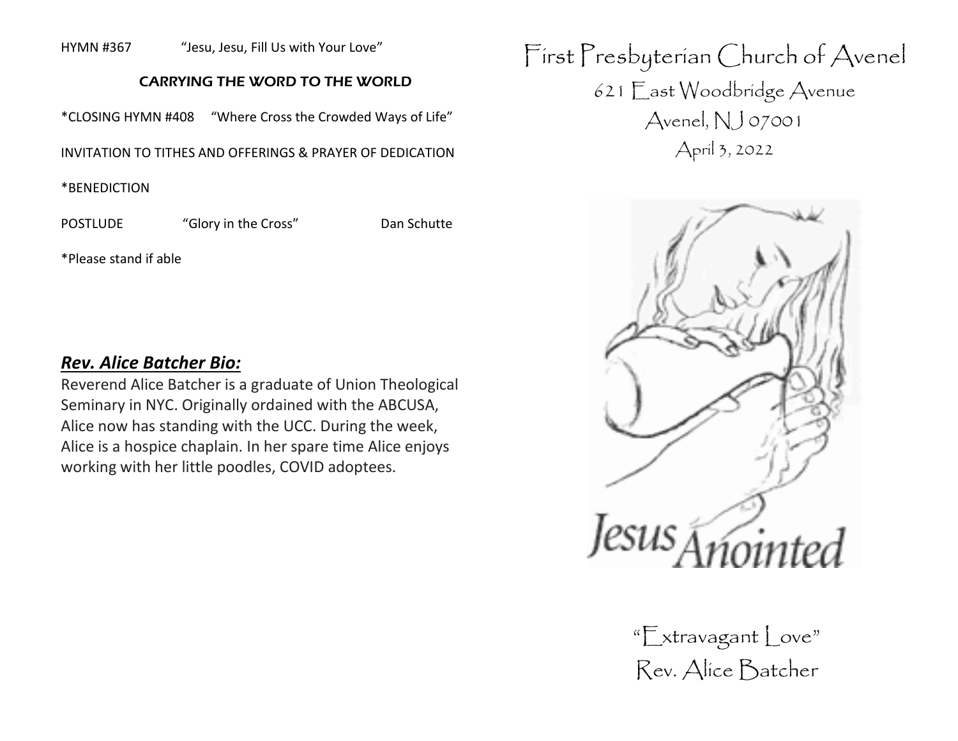HYMN #367 "Jesu, Jesu, Fill Us with Your Love"

### CARRYING THE WORD TO THE WORLD

\*CLOSING HYMN #408 "Where Cross the Crowded Ways of Life"

INVITATION TO TITHES AND OFFERINGS & PRAYER OF DEDICATION

\*BENEDICTION

POSTLUDE "Glory in the Cross" Dan Schutte

\*Please stand if able

### *Rev. Alice Batcher Bio:*

Reverend Alice Batcher is a graduate of Union Theological Seminary in NYC. Originally ordained with the ABCUSA, Alice now has standing with the UCC. During the week, Alice is a hospice chaplain. In her spare time Alice enjoys working with her little poodles, COVID adoptees.

First Presbyterian Church of Avenel 621 East Woodbridge Avenue Avenel, NJ 07001 April 3, 2022



"Extravagant Love" Rev. Alice Batcher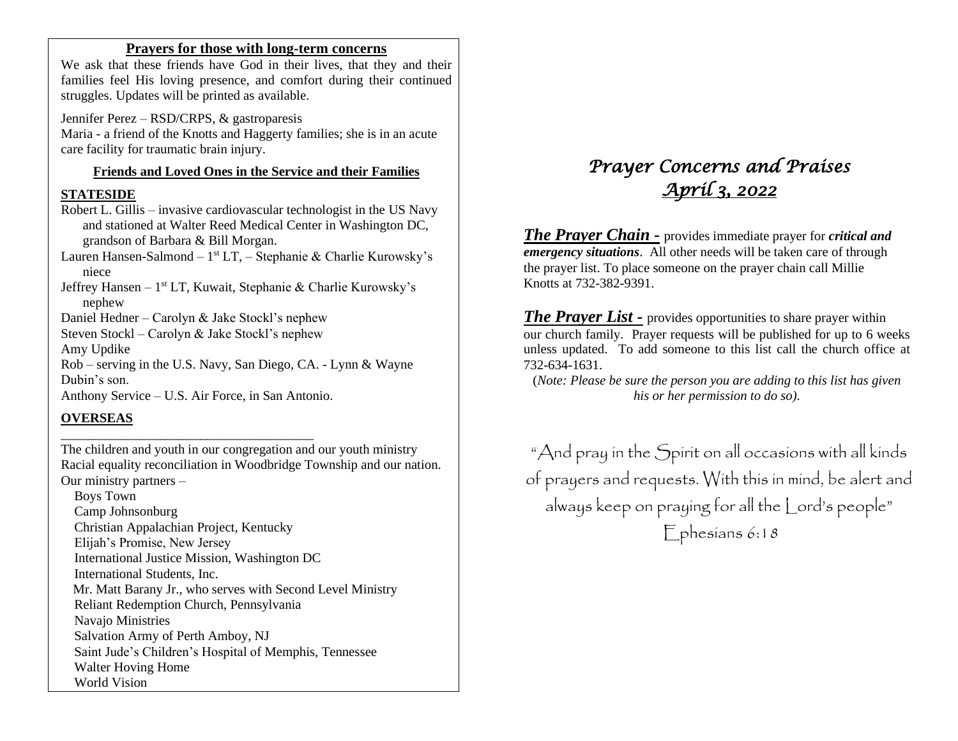### **Prayers for those with long-term concerns**

We ask that these friends have God in their lives, that they and their families feel His loving presence, and comfort during their continued struggles. Updates will be printed as available.

Jennifer Perez – RSD/CRPS, & gastroparesis Maria - a friend of the Knotts and Haggerty families; she is in an acute care facility for traumatic brain injury.

### **Friends and Loved Ones in the Service and their Families**

### **STATESIDE**

Robert L. Gillis – invasive cardiovascular technologist in the US Navy and stationed at Walter Reed Medical Center in Washington DC, grandson of Barbara & Bill Morgan.

Lauren Hansen-Salmond – 1<sup>st</sup> LT, – Stephanie & Charlie Kurowsky's niece

Jeffrey Hansen - 1<sup>st</sup> LT, Kuwait, Stephanie & Charlie Kurowsky's nephew

Daniel Hedner – Carolyn & Jake Stockl's nephew

Steven Stockl – Carolyn & Jake Stockl's nephew

Amy Updike

Rob – serving in the U.S. Navy, San Diego, CA. - Lynn & Wayne Dubin's son.

Anthony Service – U.S. Air Force, in San Antonio.

\_\_\_\_\_\_\_\_\_\_\_\_\_\_\_\_\_\_\_\_\_\_\_\_\_\_\_\_\_\_\_\_\_\_\_\_\_\_

### **OVERSEAS**

The children and youth in our congregation and our youth ministry Racial equality reconciliation in Woodbridge Township and our nation. Our ministry partners –

 Boys Town Camp Johnsonburg Christian Appalachian Project, Kentucky Elijah's Promise, New Jersey International Justice Mission, Washington DC International Students, Inc. Mr. Matt Barany Jr., who serves with Second Level Ministry Reliant Redemption Church, Pennsylvania Navajo Ministries Salvation Army of Perth Amboy, NJ Saint Jude's Children's Hospital of Memphis, Tennessee Walter Hoving Home World Vision

# *Prayer Concerns and Praises April 3, 2022*

*The Prayer Chain -* provides immediate prayer for *critical and emergency situations*. All other needs will be taken care of through the prayer list. To place someone on the prayer chain call Millie Knotts at 732-382-9391.

*The Prayer List -* provides opportunities to share prayer within our church family. Prayer requests will be published for up to 6 weeks unless updated. To add someone to this list call the church office at 732-634-1631.

(*Note: Please be sure the person you are adding to this list has given his or her permission to do so).*

"And pray in the Spirit on all occasions with all kinds of prayers and requests. With this in mind, be alert and always keep on praying for all the Lord's people" Ephesians 6:18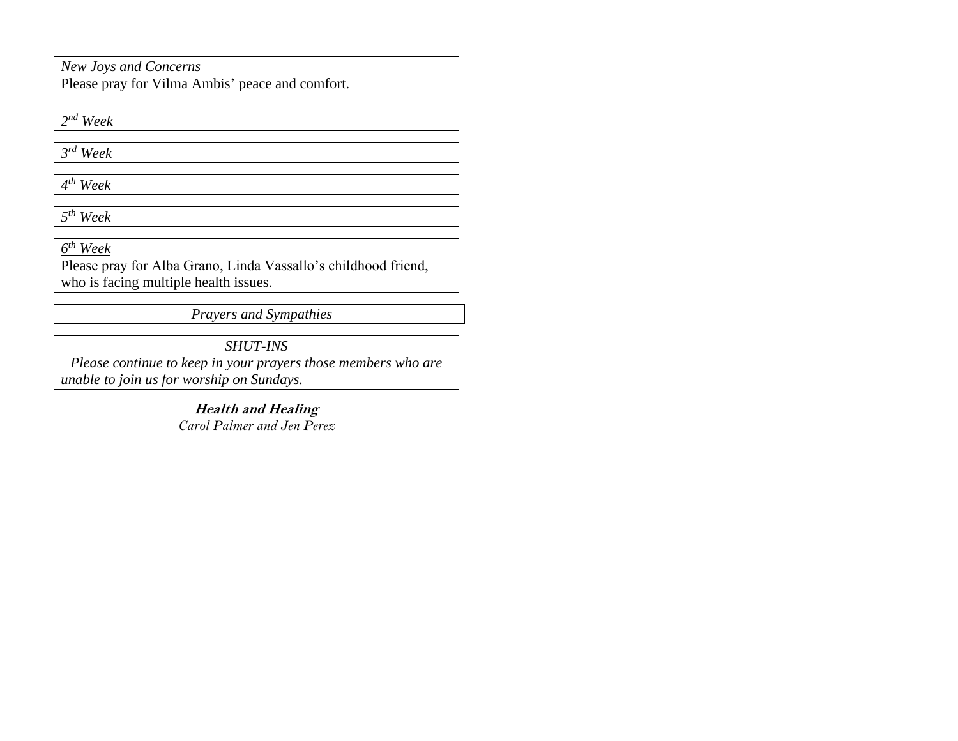### *New Joys and Concerns*

Please pray for Vilma Ambis' peace and comfort.

*2 nd Week*

*3 rd Week*

*4 th Week*

*5 th Week*

*6 th Week* 

Please pray for Alba Grano, Linda Vassallo's childhood friend, who is facing multiple health issues.

*Prayers and Sympathies*

*SHUT-INS Please continue to keep in your prayers those members who are unable to join us for worship on Sundays.* 

> **Health and Healing** *Carol Palmer and Jen Perez*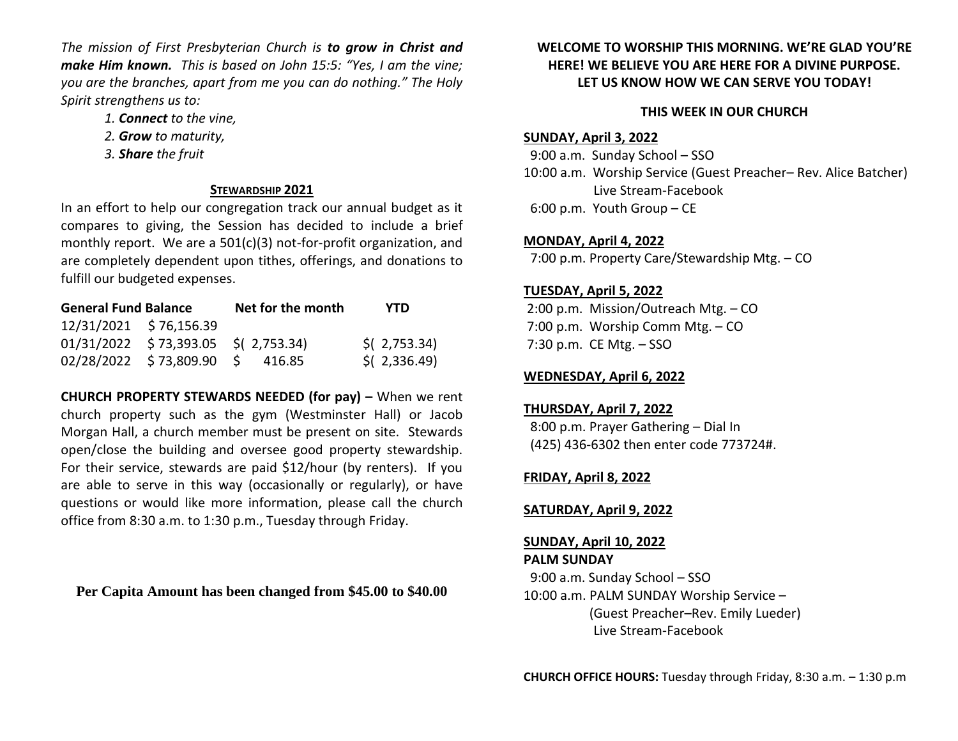*The mission of First Presbyterian Church is to grow in Christ and make Him known. This is based on John 15:5: "Yes, I am the vine; you are the branches, apart from me you can do nothing." The Holy Spirit strengthens us to:* 

- *1. Connect to the vine,*
- *2. Grow to maturity,*
- *3. Share the fruit*

### **STEWARDSHIP 2021**

In an effort to help our congregation track our annual budget as it compares to giving, the Session has decided to include a brief monthly report. We are a 501(c)(3) not-for-profit organization, and are completely dependent upon tithes, offerings, and donations to fulfill our budgeted expenses.

| <b>General Fund Balance</b> |                                       | Net for the month | YTD            |
|-----------------------------|---------------------------------------|-------------------|----------------|
| 12/31/2021 \$76,156.39      |                                       |                   |                |
|                             | $01/31/2022$ \$73,393.05 \$(2,753.34) |                   | $$$ (2,753.34) |
|                             | 02/28/2022 \$73,809.90 \$ 416.85      |                   | $$$ (2,336.49) |

**CHURCH PROPERTY STEWARDS NEEDED (for pay) –** When we rent church property such as the gym (Westminster Hall) or Jacob Morgan Hall, a church member must be present on site. Stewards open/close the building and oversee good property stewardship. For their service, stewards are paid \$12/hour (by renters). If you are able to serve in this way (occasionally or regularly), or have questions or would like more information, please call the church office from 8:30 a.m. to 1:30 p.m., Tuesday through Friday.

**Per Capita Amount has been changed from \$45.00 to \$40.00**

### **WELCOME TO WORSHIP THIS MORNING. WE'RE GLAD YOU'RE HERE! WE BELIEVE YOU ARE HERE FOR A DIVINE PURPOSE. LET US KNOW HOW WE CAN SERVE YOU TODAY!**

### **THIS WEEK IN OUR CHURCH**

### **SUNDAY, April 3, 2022**

 9:00 a.m. Sunday School – SSO 10:00 a.m. Worship Service (Guest Preacher– Rev. Alice Batcher) Live Stream-Facebook 6:00 p.m. Youth Group – CE

### **MONDAY, April 4, 2022**

7:00 p.m. Property Care/Stewardship Mtg. – CO

### **TUESDAY, April 5, 2022**

2:00 p.m. Mission/Outreach Mtg. – CO 7:00 p.m. Worship Comm Mtg. – CO 7:30 p.m. CE Mtg. – SSO

### **WEDNESDAY, April 6, 2022**

### **THURSDAY, April 7, 2022**

 8:00 p.m. Prayer Gathering – Dial In (425) 436-6302 then enter code 773724#.

### **FRIDAY, April 8, 2022**

### **SATURDAY, April 9, 2022**

## **SUNDAY, April 10, 2022**

### **PALM SUNDAY**

 9:00 a.m. Sunday School – SSO 10:00 a.m. PALM SUNDAY Worship Service – (Guest Preacher–Rev. Emily Lueder) Live Stream-Facebook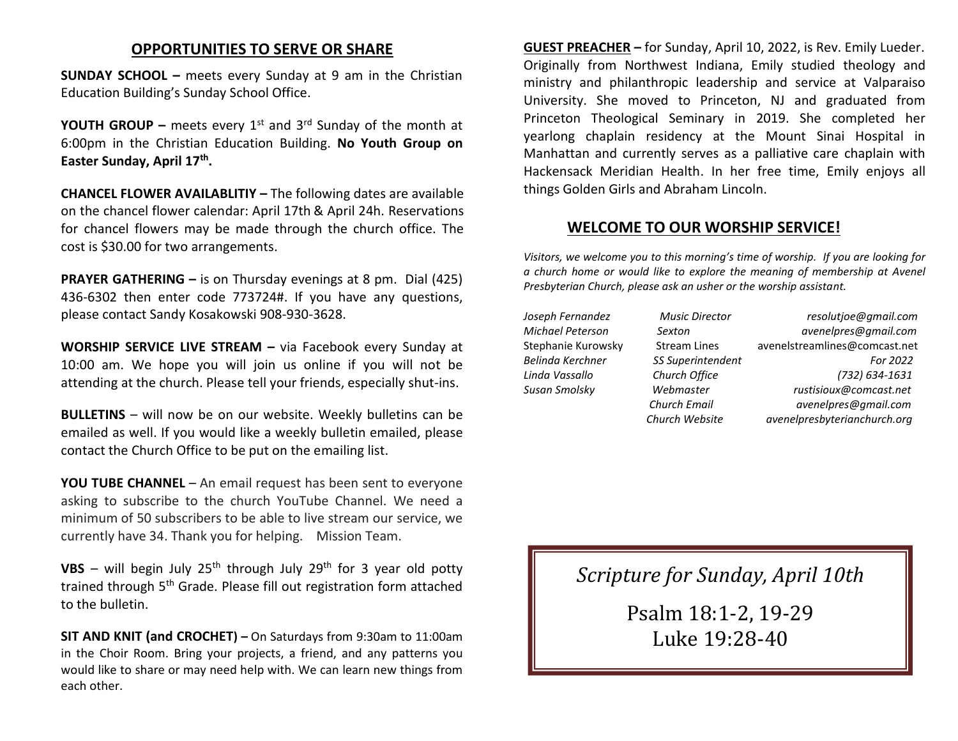### **OPPORTUNITIES TO SERVE OR SHARE**

**SUNDAY SCHOOL –** meets every Sunday at 9 am in the Christian Education Building's Sunday School Office.

**YOUTH GROUP –** meets every 1<sup>st</sup> and 3<sup>rd</sup> Sunday of the month at 6:00pm in the Christian Education Building. **No Youth Group on Easter Sunday, April 17th .**

**CHANCEL FLOWER AVAILABLITIY –** The following dates are available on the chancel flower calendar: April 17th & April 24h. Reservations for chancel flowers may be made through the church office. The cost is \$30.00 for two arrangements.

**PRAYER GATHERING –** is on Thursday evenings at 8 pm. Dial (425) 436-6302 then enter code 773724#. If you have any questions, please contact Sandy Kosakowski 908-930-3628.

**WORSHIP SERVICE LIVE STREAM –** via Facebook every Sunday at 10:00 am. We hope you will join us online if you will not be attending at the church. Please tell your friends, especially shut-ins.

**BULLETINS** – will now be on our website. Weekly bulletins can be emailed as well. If you would like a weekly bulletin emailed, please contact the Church Office to be put on the emailing list.

**YOU TUBE CHANNEL** – An email request has been sent to everyone asking to subscribe to the church YouTube Channel. We need a minimum of 50 subscribers to be able to live stream our service, we currently have 34. Thank you for helping. Mission Team.

VBS – will begin July 25<sup>th</sup> through July 29<sup>th</sup> for 3 year old potty trained through 5<sup>th</sup> Grade. Please fill out registration form attached to the bulletin.

**SIT AND KNIT (and CROCHET) –** On Saturdays from 9:30am to 11:00am in the Choir Room. Bring your projects, a friend, and any patterns you would like to share or may need help with. We can learn new things from each other.

**GUEST PREACHER –** for Sunday, April 10, 2022, is Rev. Emily Lueder. Originally from Northwest Indiana, Emily studied theology and ministry and philanthropic leadership and service at Valparaiso University. She moved to Princeton, NJ and graduated from Princeton Theological Seminary in 2019. She completed her yearlong chaplain residency at the Mount Sinai Hospital in Manhattan and currently serves as a palliative care chaplain with Hackensack Meridian Health. In her free time, Emily enjoys all things Golden Girls and Abraham Lincoln.

### **WELCOME TO OUR WORSHIP SERVICE!**

*Visitors, we welcome you to this morning's time of worship. If you are looking for a church home or would like to explore the meaning of membership at Avenel Presbyterian Church, please ask an usher or the worship assistant.* 

*Joseph Fernandez Music Director resolutjoe@gmail.com Michael Peterson Sexton avenelpres@gmail.com* Stephanie Kurowsky Stream Lines [avenelstreamlines@comcast.net](mailto:avenelstreamlines@comcast.net) *Belinda Kerchner SS Superintendent For 2022 Linda Vassallo Church Office (732) 634-1631 Susan Smolsky Webmaster rustisioux@comcast.net Church Email avenelpres@gmail.com Church Website avenelpresbyterianchurch.org*

*Scripture for Sunday, April 10th*

Psalm 18:1-2, 19-29 Luke 19:28-40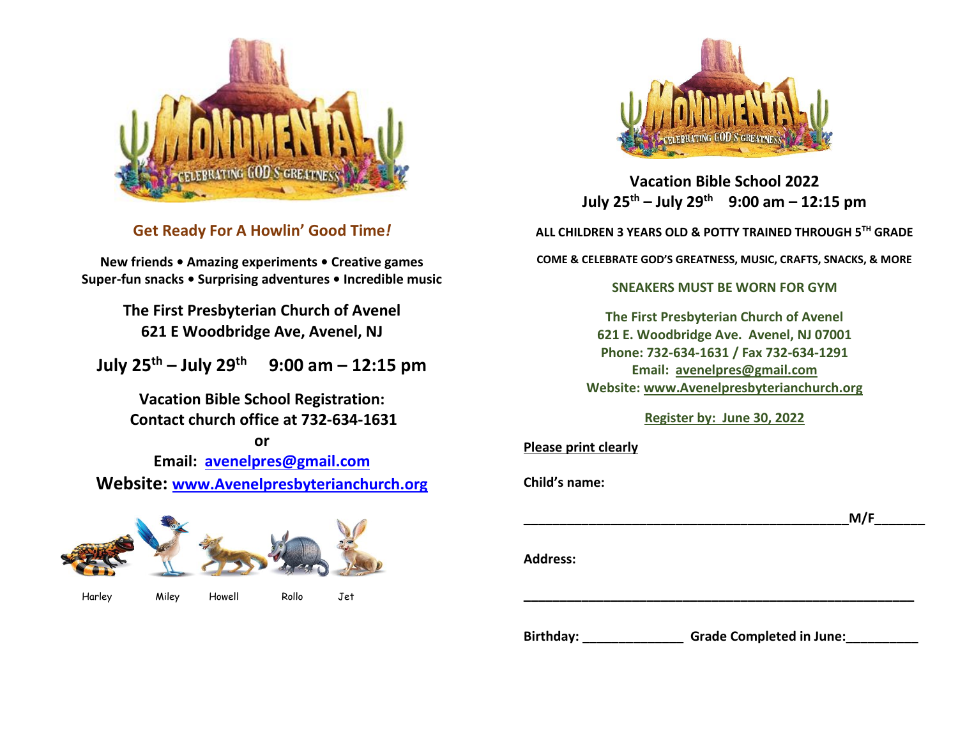

**Get Ready For A Howlin' Good Time***!*

**New friends • Amazing experiments • Creative games Super-fun snacks • Surprising adventures • Incredible music**

> **The First Presbyterian Church of Avenel 621 E Woodbridge Ave, Avenel, NJ**

**July 25th – July 29th 9:00 am – 12:15 pm**

**Vacation Bible School Registration: Contact church office at 732-634-1631**

**or**

**Email: [avenelpres@gmail.com](mailto:avenelpres@gmail.com) Website: [www.Avenelpresbyterianchurch.org](http://www.avenelpresbyterianchurch.org/)**





**Vacation Bible School 2022 July 25th – July 29th 9:00 am – 12:15 pm**

**ALL CHILDREN 3 YEARS OLD & POTTY TRAINED THROUGH 5TH GRADE**

**COME & CELEBRATE GOD'S GREATNESS, MUSIC, CRAFTS, SNACKS, & MORE**

#### **SNEAKERS MUST BE WORN FOR GYM**

**The First Presbyterian Church of Avenel 621 E. Woodbridge Ave. Avenel, NJ 07001 Phone: 732-634-1631 / Fax 732-634-1291 Email: [avenelpres@gmail.com](mailto:avenelpres@gmail.com) Website: [www.Avenelpresbyterianchurch.org](http://www.avenelpresbyterianchurch.org/)**

**Register by: June 30, 2022**

**Please print clearly**

**Child's name:** 

**\_\_\_\_\_\_\_\_\_\_\_\_\_\_\_\_\_\_\_\_\_\_\_\_\_\_\_\_\_\_\_\_\_\_\_\_\_\_\_\_\_\_\_\_\_M/F\_\_\_\_\_\_\_**

**Address:** 

Birthday: **We are also completed in June:** 

**\_\_\_\_\_\_\_\_\_\_\_\_\_\_\_\_\_\_\_\_\_\_\_\_\_\_\_\_\_\_\_\_\_\_\_\_\_\_\_\_\_\_\_\_\_\_\_\_\_\_\_\_\_\_**